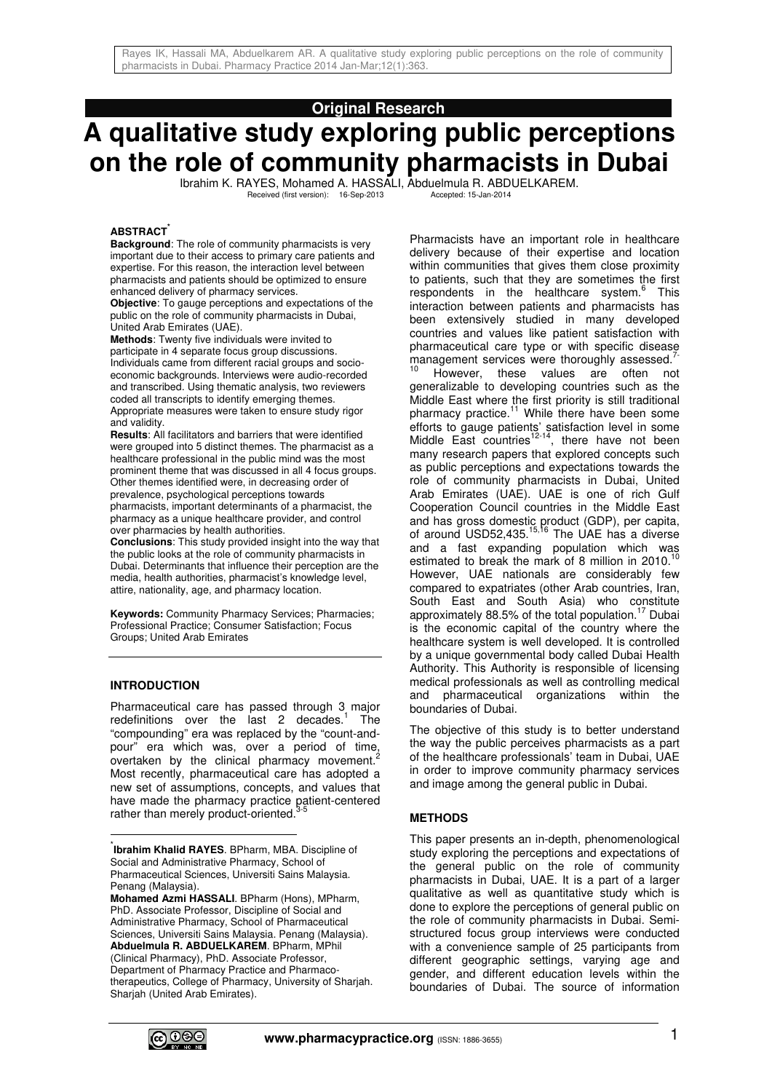# **Original Research**

# **A qualitative study exploring public perceptions on the role of community pharmacists in Dubai**

Ibrahim K. RAYES, Mohamed A. HASSALI, Abduelmula R. ABDUELKAREM. Received (first version): 16-Sep-2013

#### **ABSTRACT\***

**Background**: The role of community pharmacists is very important due to their access to primary care patients and expertise. For this reason, the interaction level between pharmacists and patients should be optimized to ensure enhanced delivery of pharmacy services.

**Objective**: To gauge perceptions and expectations of the public on the role of community pharmacists in Dubai, United Arab Emirates (UAE).

**Methods**: Twenty five individuals were invited to participate in 4 separate focus group discussions. Individuals came from different racial groups and socioeconomic backgrounds. Interviews were audio-recorded and transcribed. Using thematic analysis, two reviewers coded all transcripts to identify emerging themes. Appropriate measures were taken to ensure study rigor and validity.

**Results**: All facilitators and barriers that were identified were grouped into 5 distinct themes. The pharmacist as a healthcare professional in the public mind was the most prominent theme that was discussed in all 4 focus groups. Other themes identified were, in decreasing order of prevalence, psychological perceptions towards pharmacists, important determinants of a pharmacist, the pharmacy as a unique healthcare provider, and control over pharmacies by health authorities.

**Conclusions**: This study provided insight into the way that the public looks at the role of community pharmacists in Dubai. Determinants that influence their perception are the media, health authorities, pharmacist's knowledge level, attire, nationality, age, and pharmacy location.

**Keywords:** Community Pharmacy Services; Pharmacies; Professional Practice; Consumer Satisfaction; Focus Groups; United Arab Emirates

#### **INTRODUCTION**

 $\frac{1}{2}$ 

Pharmaceutical care has passed through 3 major redefinitions over the last 2 decades.<sup>1</sup> The "compounding" era was replaced by the "count-andpour" era which was, over a period of time, overtaken by the clinical pharmacy movement. $2$ Most recently, pharmaceutical care has adopted a new set of assumptions, concepts, and values that have made the pharmacy practice patient-centered rather than merely product-oriented.<sup>3-5</sup>

Pharmacists have an important role in healthcare delivery because of their expertise and location within communities that gives them close proximity to patients, such that they are sometimes the first respondents in the healthcare system.<sup>6</sup> This interaction between patients and pharmacists has been extensively studied in many developed countries and values like patient satisfaction with pharmaceutical care type or with specific disease management services were thoroughly assessed.

However, these values are often not generalizable to developing countries such as the Middle East where the first priority is still traditional pharmacy practice.<sup>11</sup> While there have been some efforts to gauge patients' satisfaction level in some Middle East countries<sup>12-14</sup>, there have not been many research papers that explored concepts such as public perceptions and expectations towards the role of community pharmacists in Dubai, United Arab Emirates (UAE). UAE is one of rich Gulf Cooperation Council countries in the Middle East and has gross domestic product (GDP), per capita, of around USD52,435.<sup>15,16</sup> The UAE has a diverse and a fast expanding population which was estimated to break the mark of 8 million in 2010. However, UAE nationals are considerably few compared to expatriates (other Arab countries, Iran, South East and South Asia) who constitute approximately 88.5% of the total population.<sup>17</sup> Dubai is the economic capital of the country where the healthcare system is well developed. It is controlled by a unique governmental body called Dubai Health Authority. This Authority is responsible of licensing medical professionals as well as controlling medical and pharmaceutical organizations within the boundaries of Dubai.

The objective of this study is to better understand the way the public perceives pharmacists as a part of the healthcare professionals' team in Dubai, UAE in order to improve community pharmacy services and image among the general public in Dubai.

#### **METHODS**

This paper presents an in-depth, phenomenological study exploring the perceptions and expectations of the general public on the role of community pharmacists in Dubai, UAE. It is a part of a larger qualitative as well as quantitative study which is done to explore the perceptions of general public on the role of community pharmacists in Dubai. Semistructured focus group interviews were conducted with a convenience sample of 25 participants from different geographic settings, varying age and gender, and different education levels within the boundaries of Dubai. The source of information



<sup>\*</sup> **Ibrahim Khalid RAYES**. BPharm, MBA. Discipline of Social and Administrative Pharmacy, School of Pharmaceutical Sciences, Universiti Sains Malaysia. Penang (Malaysia).

**Mohamed Azmi HASSALI**. BPharm (Hons), MPharm, PhD. Associate Professor, Discipline of Social and Administrative Pharmacy, School of Pharmaceutical Sciences, Universiti Sains Malaysia. Penang (Malaysia). **Abduelmula R. ABDUELKAREM**. BPharm, MPhil (Clinical Pharmacy), PhD. Associate Professor, Department of Pharmacy Practice and Pharmacotherapeutics, College of Pharmacy, University of Sharjah. Sharjah (United Arab Emirates).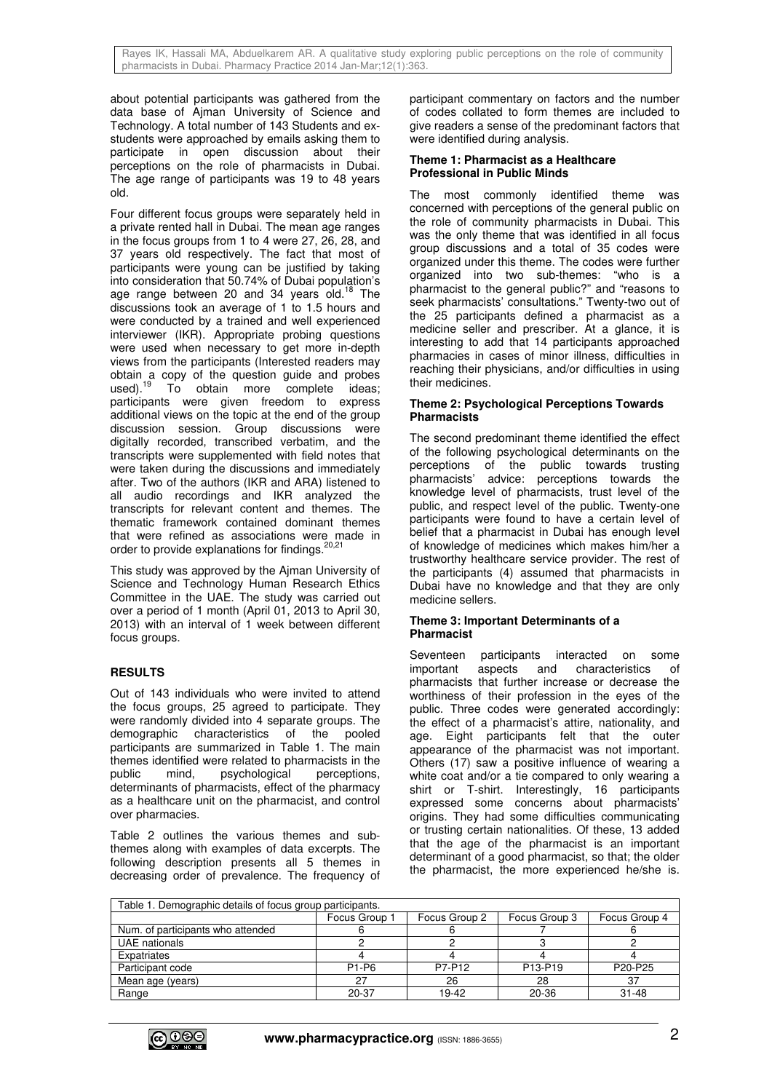about potential participants was gathered from the data base of Ajman University of Science and Technology. A total number of 143 Students and exstudents were approached by emails asking them to participate in open discussion about their perceptions on the role of pharmacists in Dubai. The age range of participants was 19 to 48 years old.

Four different focus groups were separately held in a private rented hall in Dubai. The mean age ranges in the focus groups from 1 to 4 were 27, 26, 28, and 37 years old respectively. The fact that most of participants were young can be justified by taking into consideration that 50.74% of Dubai population's age range between 20 and 34 years old.<sup>18</sup> The discussions took an average of 1 to 1.5 hours and were conducted by a trained and well experienced interviewer (IKR). Appropriate probing questions were used when necessary to get more in-depth views from the participants (Interested readers may obtain a copy of the question guide and probes used).<sup>19</sup> To obtain more complete ideas: To obtain more complete ideas; participants were given freedom to express additional views on the topic at the end of the group discussion session. Group discussions were digitally recorded, transcribed verbatim, and the transcripts were supplemented with field notes that were taken during the discussions and immediately after. Two of the authors (IKR and ARA) listened to all audio recordings and IKR analyzed the transcripts for relevant content and themes. The thematic framework contained dominant themes that were refined as associations were made in order to provide explanations for findings.<sup>20,21</sup>

This study was approved by the Ajman University of Science and Technology Human Research Ethics Committee in the UAE. The study was carried out over a period of 1 month (April 01, 2013 to April 30, 2013) with an interval of 1 week between different focus groups.

# **RESULTS**

Out of 143 individuals who were invited to attend the focus groups, 25 agreed to participate. They were randomly divided into 4 separate groups. The demographic characteristics of the pooled participants are summarized in Table 1. The main themes identified were related to pharmacists in the public mind, psychological perceptions. mind, psychological perceptions, determinants of pharmacists, effect of the pharmacy as a healthcare unit on the pharmacist, and control over pharmacies.

Table 2 outlines the various themes and subthemes along with examples of data excerpts. The following description presents all 5 themes in decreasing order of prevalence. The frequency of participant commentary on factors and the number of codes collated to form themes are included to give readers a sense of the predominant factors that were identified during analysis.

#### **Theme 1: Pharmacist as a Healthcare Professional in Public Minds**

The most commonly identified theme was concerned with perceptions of the general public on the role of community pharmacists in Dubai. This was the only theme that was identified in all focus group discussions and a total of 35 codes were organized under this theme. The codes were further organized into two sub-themes: "who is a pharmacist to the general public?" and "reasons to seek pharmacists' consultations." Twenty-two out of the 25 participants defined a pharmacist as a medicine seller and prescriber. At a glance, it is interesting to add that 14 participants approached pharmacies in cases of minor illness, difficulties in reaching their physicians, and/or difficulties in using their medicines.

# **Theme 2: Psychological Perceptions Towards Pharmacists**

The second predominant theme identified the effect of the following psychological determinants on the perceptions of the public towards trusting pharmacists' advice: perceptions towards the knowledge level of pharmacists, trust level of the public, and respect level of the public. Twenty-one participants were found to have a certain level of belief that a pharmacist in Dubai has enough level of knowledge of medicines which makes him/her a trustworthy healthcare service provider. The rest of the participants (4) assumed that pharmacists in Dubai have no knowledge and that they are only medicine sellers.

# **Theme 3: Important Determinants of a Pharmacist**

Seventeen participants interacted on some important aspects and characteristics of pharmacists that further increase or decrease the worthiness of their profession in the eyes of the public. Three codes were generated accordingly: the effect of a pharmacist's attire, nationality, and age. Eight participants felt that the outer appearance of the pharmacist was not important. Others (17) saw a positive influence of wearing a white coat and/or a tie compared to only wearing a shirt or T-shirt. Interestingly, 16 participants expressed some concerns about pharmacists' origins. They had some difficulties communicating or trusting certain nationalities. Of these, 13 added that the age of the pharmacist is an important determinant of a good pharmacist, so that; the older the pharmacist, the more experienced he/she is.

| Table 1. Demographic details of focus group participants. |                   |               |                                |               |  |
|-----------------------------------------------------------|-------------------|---------------|--------------------------------|---------------|--|
|                                                           | Focus Group 1     | Focus Group 2 | Focus Group 3                  | Focus Group 4 |  |
| Num. of participants who attended                         |                   |               |                                |               |  |
| UAE nationals                                             |                   |               |                                |               |  |
| Expatriates                                               |                   |               |                                |               |  |
| Participant code                                          | P <sub>1-P6</sub> | P7-P12        | P <sub>13-P<sub>19</sub></sub> | P20-P25       |  |
| Mean age (years)                                          |                   | 26            | 28                             | 37            |  |
| Range                                                     | 20-37             | 19-42         | 20-36                          | $31 - 48$     |  |

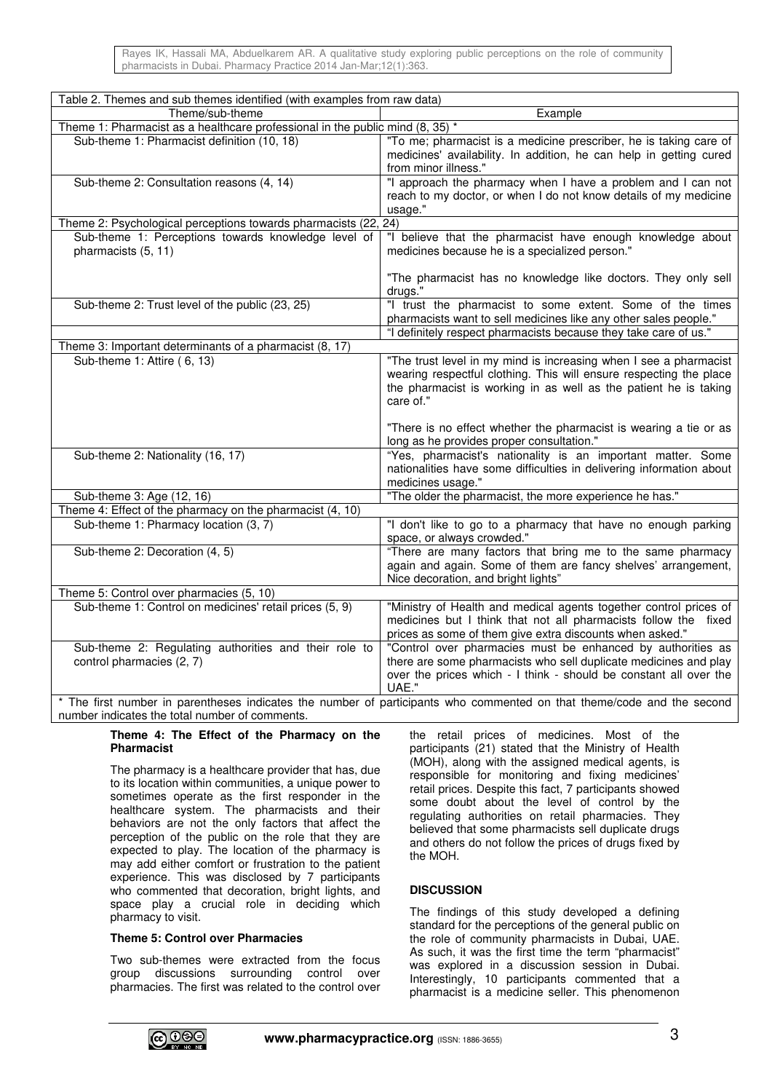Rayes IK, Hassali MA, Abduelkarem AR. A qualitative study exploring public perceptions on the role of community pharmacists in Dubai. Pharmacy Practice 2014 Jan-Mar;12(1):363.

| Table 2. Themes and sub themes identified (with examples from raw data)                                                                                                  |                                                                                                                                                                                                                          |  |  |  |
|--------------------------------------------------------------------------------------------------------------------------------------------------------------------------|--------------------------------------------------------------------------------------------------------------------------------------------------------------------------------------------------------------------------|--|--|--|
| Theme/sub-theme<br>Example                                                                                                                                               |                                                                                                                                                                                                                          |  |  |  |
| Theme 1: Pharmacist as a healthcare professional in the public mind $(8, 35)$ *                                                                                          |                                                                                                                                                                                                                          |  |  |  |
| Sub-theme 1: Pharmacist definition (10, 18)                                                                                                                              | "To me; pharmacist is a medicine prescriber, he is taking care of<br>medicines' availability. In addition, he can help in getting cured<br>from minor illness."                                                          |  |  |  |
| Sub-theme 2: Consultation reasons (4, 14)                                                                                                                                | "I approach the pharmacy when I have a problem and I can not<br>reach to my doctor, or when I do not know details of my medicine<br>usage."                                                                              |  |  |  |
| Theme 2: Psychological perceptions towards pharmacists (22, 24)                                                                                                          |                                                                                                                                                                                                                          |  |  |  |
| Sub-theme 1: Perceptions towards knowledge level of<br>pharmacists (5, 11)                                                                                               | "I believe that the pharmacist have enough knowledge about<br>medicines because he is a specialized person."                                                                                                             |  |  |  |
|                                                                                                                                                                          | "The pharmacist has no knowledge like doctors. They only sell<br>drugs."                                                                                                                                                 |  |  |  |
| Sub-theme 2: Trust level of the public (23, 25)                                                                                                                          | "I trust the pharmacist to some extent. Some of the times<br>pharmacists want to sell medicines like any other sales people."                                                                                            |  |  |  |
|                                                                                                                                                                          | "I definitely respect pharmacists because they take care of us."                                                                                                                                                         |  |  |  |
| Theme 3: Important determinants of a pharmacist (8, 17)                                                                                                                  |                                                                                                                                                                                                                          |  |  |  |
| Sub-theme 1: Attire (6, 13)                                                                                                                                              | "The trust level in my mind is increasing when I see a pharmacist<br>wearing respectful clothing. This will ensure respecting the place<br>the pharmacist is working in as well as the patient he is taking<br>care of." |  |  |  |
|                                                                                                                                                                          | "There is no effect whether the pharmacist is wearing a tie or as<br>long as he provides proper consultation."                                                                                                           |  |  |  |
| Sub-theme 2: Nationality (16, 17)                                                                                                                                        | "Yes, pharmacist's nationality is an important matter. Some<br>nationalities have some difficulties in delivering information about<br>medicines usage."                                                                 |  |  |  |
| Sub-theme 3: Age (12, 16)                                                                                                                                                | "The older the pharmacist, the more experience he has."                                                                                                                                                                  |  |  |  |
| Theme 4: Effect of the pharmacy on the pharmacist (4, 10)                                                                                                                |                                                                                                                                                                                                                          |  |  |  |
| Sub-theme 1: Pharmacy location (3, 7)                                                                                                                                    | "I don't like to go to a pharmacy that have no enough parking<br>space, or always crowded."                                                                                                                              |  |  |  |
| Sub-theme 2: Decoration (4, 5)                                                                                                                                           | "There are many factors that bring me to the same pharmacy<br>again and again. Some of them are fancy shelves' arrangement,<br>Nice decoration, and bright lights"                                                       |  |  |  |
| Theme 5: Control over pharmacies (5, 10)                                                                                                                                 |                                                                                                                                                                                                                          |  |  |  |
| Sub-theme 1: Control on medicines' retail prices (5, 9)                                                                                                                  | "Ministry of Health and medical agents together control prices of<br>medicines but I think that not all pharmacists follow the fixed<br>prices as some of them give extra discounts when asked."                         |  |  |  |
| Sub-theme 2: Regulating authorities and their role to<br>control pharmacies (2, 7)                                                                                       | "Control over pharmacies must be enhanced by authorities as<br>there are some pharmacists who sell duplicate medicines and play<br>over the prices which - I think - should be constant all over the<br>UAE."            |  |  |  |
| * The first number in parentheses indicates the number of participants who commented on that theme/code and the second<br>number indicates the total number of comments. |                                                                                                                                                                                                                          |  |  |  |

#### **Theme 4: The Effect of the Pharmacy on the Pharmacist**

The pharmacy is a healthcare provider that has, due to its location within communities, a unique power to sometimes operate as the first responder in the healthcare system. The pharmacists and their behaviors are not the only factors that affect the perception of the public on the role that they are expected to play. The location of the pharmacy is may add either comfort or frustration to the patient experience. This was disclosed by 7 participants who commented that decoration, bright lights, and space play a crucial role in deciding which pharmacy to visit.

# **Theme 5: Control over Pharmacies**

Two sub-themes were extracted from the focus group discussions surrounding control over pharmacies. The first was related to the control over the retail prices of medicines. Most of the participants (21) stated that the Ministry of Health (MOH), along with the assigned medical agents, is responsible for monitoring and fixing medicines' retail prices. Despite this fact, 7 participants showed some doubt about the level of control by the regulating authorities on retail pharmacies. They believed that some pharmacists sell duplicate drugs and others do not follow the prices of drugs fixed by the MOH.

# **DISCUSSION**

The findings of this study developed a defining standard for the perceptions of the general public on the role of community pharmacists in Dubai, UAE. As such, it was the first time the term "pharmacist" was explored in a discussion session in Dubai. Interestingly, 10 participants commented that a pharmacist is a medicine seller. This phenomenon

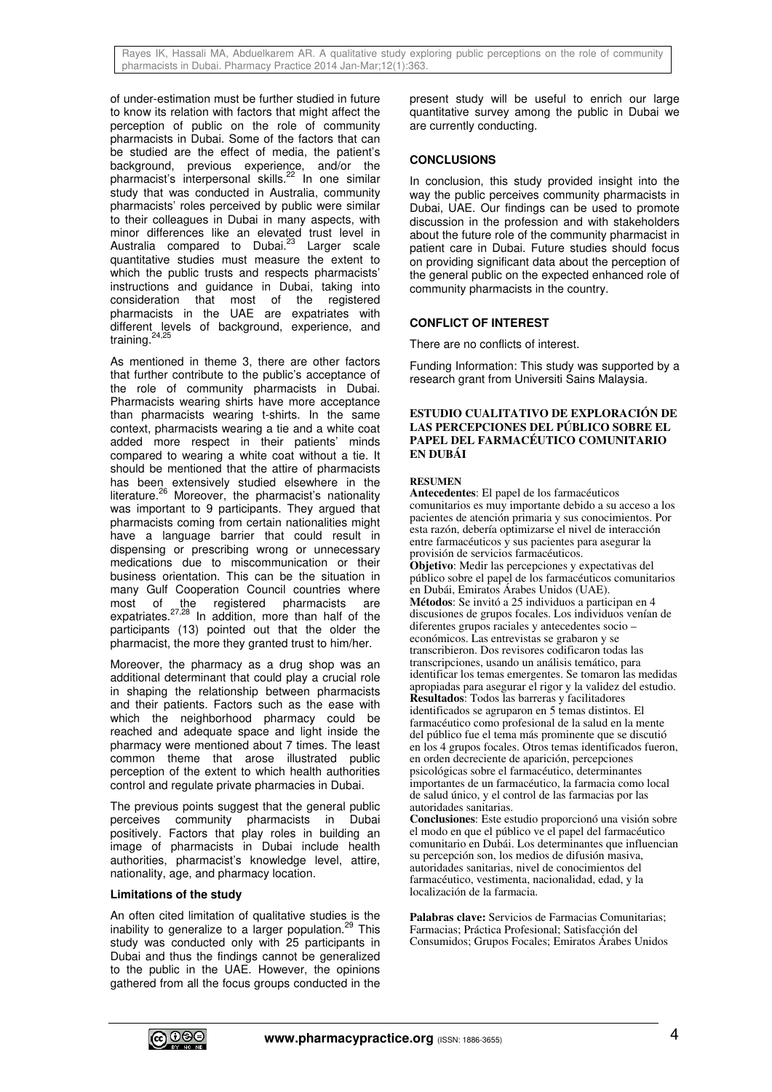Rayes IK, Hassali MA, Abduelkarem AR. A qualitative study exploring public perceptions on the role of community pharmacists in Dubai. Pharmacy Practice 2014 Jan-Mar;12(1):363.

of under-estimation must be further studied in future to know its relation with factors that might affect the perception of public on the role of community pharmacists in Dubai. Some of the factors that can be studied are the effect of media, the patient's background, previous experience, and/or the pharmacist's interpersonal skills.<sup>22</sup> In one similar study that was conducted in Australia, community pharmacists' roles perceived by public were similar to their colleagues in Dubai in many aspects, with minor differences like an elevated trust level in Australia compared to Dubai.<sup>23</sup> Larger scale quantitative studies must measure the extent to which the public trusts and respects pharmacists' instructions and guidance in Dubai, taking into consideration that most of the registered pharmacists in the UAE are expatriates with different levels of background, experience, and training.<sup>24,25</sup>

As mentioned in theme 3, there are other factors that further contribute to the public's acceptance of the role of community pharmacists in Dubai. Pharmacists wearing shirts have more acceptance than pharmacists wearing t-shirts. In the same context, pharmacists wearing a tie and a white coat added more respect in their patients' minds compared to wearing a white coat without a tie. It should be mentioned that the attire of pharmacists has been extensively studied elsewhere in the literature.<sup>26</sup> Moreover, the pharmacist's nationality was important to 9 participants. They argued that pharmacists coming from certain nationalities might have a language barrier that could result in dispensing or prescribing wrong or unnecessary medications due to miscommunication or their business orientation. This can be the situation in many Gulf Cooperation Council countries where most of the registered pharmacists are expatriates.<sup>27,28</sup> In addition, more than half of the participants (13) pointed out that the older the pharmacist, the more they granted trust to him/her.

Moreover, the pharmacy as a drug shop was an additional determinant that could play a crucial role in shaping the relationship between pharmacists and their patients. Factors such as the ease with which the neighborhood pharmacy could be reached and adequate space and light inside the pharmacy were mentioned about 7 times. The least common theme that arose illustrated public perception of the extent to which health authorities control and regulate private pharmacies in Dubai.

The previous points suggest that the general public perceives community pharmacists in Dubai positively. Factors that play roles in building an image of pharmacists in Dubai include health authorities, pharmacist's knowledge level, attire, nationality, age, and pharmacy location.

#### **Limitations of the study**

An often cited limitation of qualitative studies is the inability to generalize to a larger population.<sup>29</sup> This study was conducted only with 25 participants in Dubai and thus the findings cannot be generalized to the public in the UAE. However, the opinions gathered from all the focus groups conducted in the present study will be useful to enrich our large quantitative survey among the public in Dubai we are currently conducting.

## **CONCLUSIONS**

In conclusion, this study provided insight into the way the public perceives community pharmacists in Dubai, UAE. Our findings can be used to promote discussion in the profession and with stakeholders about the future role of the community pharmacist in patient care in Dubai. Future studies should focus on providing significant data about the perception of the general public on the expected enhanced role of community pharmacists in the country.

#### **CONFLICT OF INTEREST**

There are no conflicts of interest.

Funding Information: This study was supported by a research grant from Universiti Sains Malaysia.

#### **ESTUDIO CUALITATIVO DE EXPLORACIÓN DE LAS PERCEPCIONES DEL PÚBLICO SOBRE EL PAPEL DEL FARMACÉUTICO COMUNITARIO EN DUBÁI**

#### **RESUMEN**

**Antecedentes**: El papel de los farmacéuticos comunitarios es muy importante debido a su acceso a los pacientes de atención primaria y sus conocimientos. Por esta razón, debería optimizarse el nivel de interacción entre farmacéuticos y sus pacientes para asegurar la provisión de servicios farmacéuticos. **Objetivo**: Medir las percepciones y expectativas del público sobre el papel de los farmacéuticos comunitarios en Dubái, Emiratos Árabes Unidos (UAE). **Métodos**: Se invitó a 25 individuos a participan en 4 discusiones de grupos focales. Los individuos venían de diferentes grupos raciales y antecedentes socio – económicos. Las entrevistas se grabaron y se transcribieron. Dos revisores codificaron todas las transcripciones, usando un análisis temático, para identificar los temas emergentes. Se tomaron las medidas apropiadas para asegurar el rigor y la validez del estudio. **Resultados**: Todos las barreras y facilitadores identificados se agruparon en 5 temas distintos. El farmacéutico como profesional de la salud en la mente del público fue el tema más prominente que se discutió en los 4 grupos focales. Otros temas identificados fueron, en orden decreciente de aparición, percepciones psicológicas sobre el farmacéutico, determinantes importantes de un farmacéutico, la farmacia como local de salud único, y el control de las farmacias por las autoridades sanitarias.

**Conclusiones**: Este estudio proporcionó una visión sobre el modo en que el público ve el papel del farmacéutico comunitario en Dubái. Los determinantes que influencian su percepción son, los medios de difusión masiva, autoridades sanitarias, nivel de conocimientos del farmacéutico, vestimenta, nacionalidad, edad, y la localización de la farmacia.

**Palabras clave:** Servicios de Farmacias Comunitarias; Farmacias; Práctica Profesional; Satisfacción del Consumidos; Grupos Focales; Emiratos Árabes Unidos